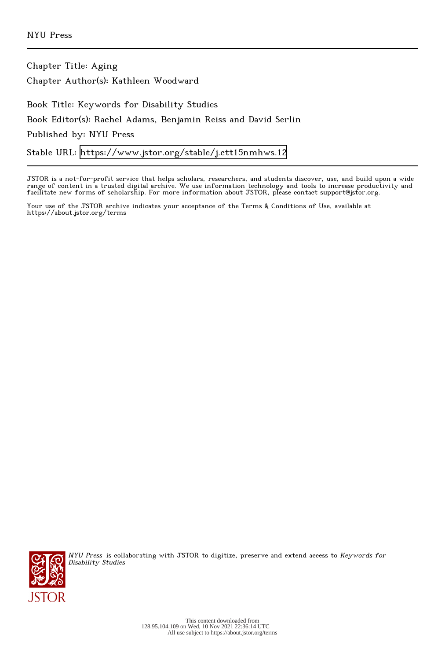Chapter Title: Aging Chapter Author(s): Kathleen Woodward

Book Title: Keywords for Disability Studies Book Editor(s): Rachel Adams, Benjamin Reiss and David Serlin Published by: NYU Press

Stable URL:<https://www.jstor.org/stable/j.ctt15nmhws.12>

JSTOR is a not-for-profit service that helps scholars, researchers, and students discover, use, and build upon a wide range of content in a trusted digital archive. We use information technology and tools to increase productivity and facilitate new forms of scholarship. For more information about JSTOR, please contact support@jstor.org.

Your use of the JSTOR archive indicates your acceptance of the Terms & Conditions of Use, available at https://about.jstor.org/terms



NYU Press is collaborating with JSTOR to digitize, preserve and extend access to Keywords for Disability Studies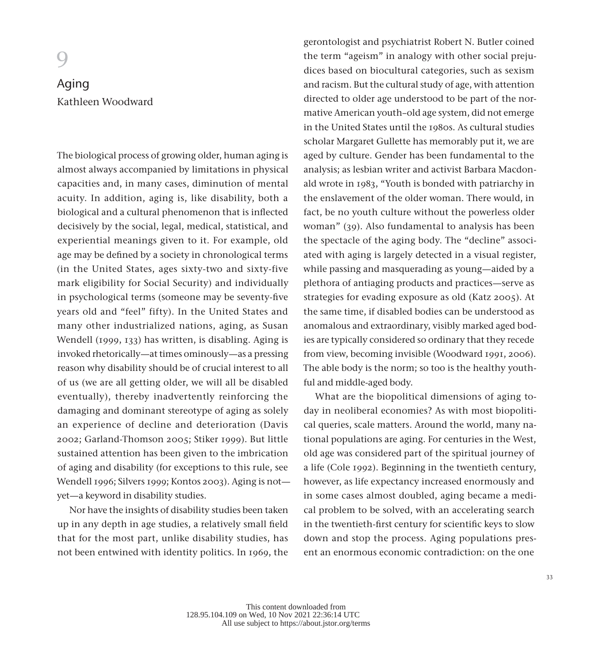## Aging Kathleen Woodward

 $\rm{Q}$ 

The biological process of growing older, human aging is almost always accompanied by limitations in physical capacities and, in many cases, diminution of mental acuity. In addition, aging is, like disability, both a biological and a cultural phenomenon that is inflected decisively by the social, legal, medical, statistical, and experiential meanings given to it. For example, old age may be defined by a society in chronological terms (in the United States, ages sixty-two and sixty-five mark eligibility for Social Security) and individually in psychological terms (someone may be seventy-five years old and "feel" fifty). In the United States and many other industrialized nations, aging, as Susan Wendell (1999, 133) has written, is disabling. Aging is invoked rhetorically—at times ominously—as a pressing reason why disability should be of crucial interest to all of us (we are all getting older, we will all be disabled eventually), thereby inadvertently reinforcing the damaging and dominant stereotype of aging as solely an experience of decline and deterioration (Davis 2002; Garland-Thomson 2005; Stiker 1999). But little sustained attention has been given to the imbrication of aging and disability (for exceptions to this rule, see Wendell 1996; Silvers 1999; Kontos 2003). Aging is not yet—a keyword in disability studies.

Nor have the insights of disability studies been taken up in any depth in age studies, a relatively small field that for the most part, unlike disability studies, has not been entwined with identity politics. In 1969, the

gerontologist and psychiatrist Robert N. Butler coined the term "ageism" in analogy with other social prejudices based on biocultural categories, such as sexism and racism. But the cultural study of age, with attention directed to older age understood to be part of the normative American youth–old age system, did not emerge in the United States until the 1980s. As cultural studies scholar Margaret Gullette has memorably put it, we are aged by culture. Gender has been fundamental to the analysis; as lesbian writer and activist Barbara Macdonald wrote in 1983, "Youth is bonded with patriarchy in the enslavement of the older woman. There would, in fact, be no youth culture without the powerless older woman" (39). Also fundamental to analysis has been the spectacle of the aging body. The "decline" associated with aging is largely detected in a visual register, while passing and masquerading as young—aided by a plethora of antiaging products and practices—serve as strategies for evading exposure as old (Katz 2005). At the same time, if disabled bodies can be understood as anomalous and extraordinary, visibly marked aged bodies are typically considered so ordinary that they recede from view, becoming invisible (Woodward 1991, 2006). The able body is the norm; so too is the healthy youthful and middle-aged body.

What are the biopolitical dimensions of aging today in neoliberal economies? As with most biopolitical queries, scale matters. Around the world, many national populations are aging. For centuries in the West, old age was considered part of the spiritual journey of a life (Cole 1992). Beginning in the twentieth century, however, as life expectancy increased enormously and in some cases almost doubled, aging became a medical problem to be solved, with an accelerating search in the twentieth-first century for scientific keys to slow down and stop the process. Aging populations present an enormous economic contradiction: on the one